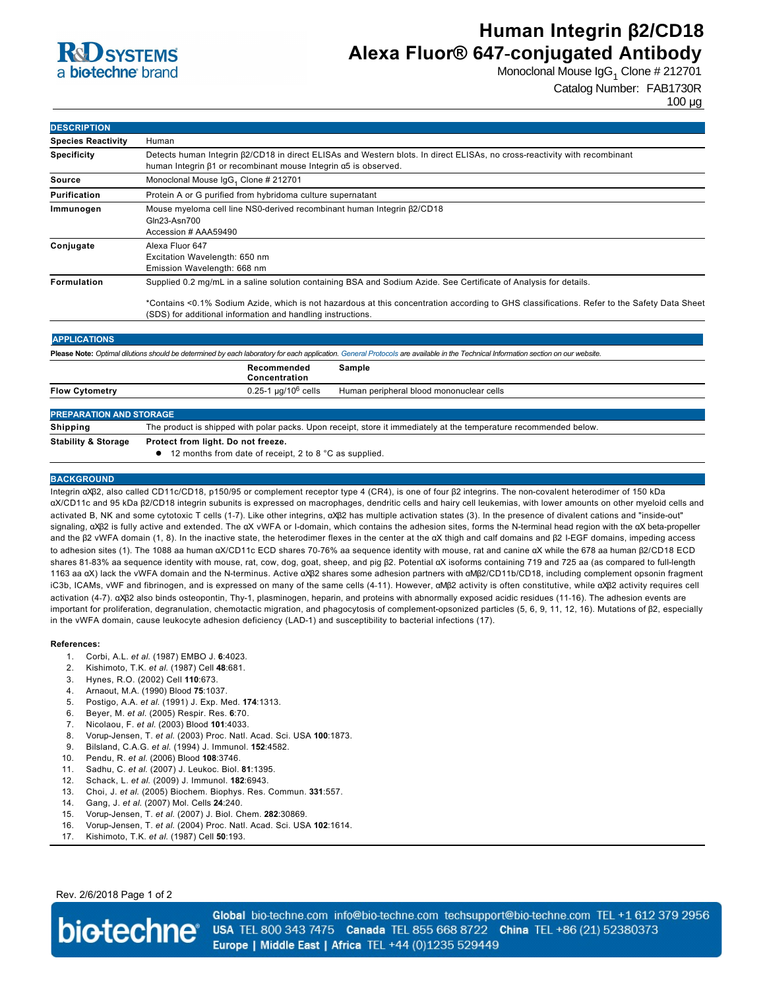

# **Human Integrin β2/CD18 Alexa Fluor® 647-conjugated Antibody**

Monoclonal Mouse IgG<sub>1</sub> Clone # 212701

Catalog Number: FAB1730R

100 µg

| <b>DESCRIPTION</b>             |                                                                                                                                                                                                            |
|--------------------------------|------------------------------------------------------------------------------------------------------------------------------------------------------------------------------------------------------------|
| <b>Species Reactivity</b>      | Human                                                                                                                                                                                                      |
| <b>Specificity</b>             | Detects human Integrin $\beta$ 2/CD18 in direct ELISAs and Western blots. In direct ELISAs, no cross-reactivity with recombinant<br>human Integrin β1 or recombinant mouse Integrin α5 is observed.        |
| <b>Source</b>                  | Monoclonal Mouse IgG <sub>1</sub> Clone # 212701                                                                                                                                                           |
| <b>Purification</b>            | Protein A or G purified from hybridoma culture supernatant                                                                                                                                                 |
| Immunogen                      | Mouse myeloma cell line NS0-derived recombinant human Integrin $\beta$ 2/CD18<br>Gln23-Asn700<br>Accession # AAA59490                                                                                      |
| Conjugate                      | Alexa Fluor 647<br>Excitation Wavelength: 650 nm<br>Emission Wavelength: 668 nm                                                                                                                            |
| Formulation                    | Supplied 0.2 mg/mL in a saline solution containing BSA and Sodium Azide. See Certificate of Analysis for details.                                                                                          |
|                                | *Contains <0.1% Sodium Azide, which is not hazardous at this concentration according to GHS classifications. Refer to the Safety Data Sheet<br>(SDS) for additional information and handling instructions. |
| <b>APPLICATIONS</b>            |                                                                                                                                                                                                            |
|                                | Please Note: Optimal dilutions should be determined by each laboratory for each application. General Protocols are available in the Technical Information section on our website.                          |
|                                | Recommended<br>Sample<br>Concentration                                                                                                                                                                     |
| <b>Flow Cytometry</b>          | 0.25-1 $\mu$ g/10 <sup>6</sup> cells<br>Human peripheral blood mononuclear cells                                                                                                                           |
| <b>PREPARATION AND STORAGE</b> |                                                                                                                                                                                                            |
| <b>Shipping</b>                | The product is shipped with polar packs. Upon receipt, store it immediately at the temperature recommended below.                                                                                          |
| <b>Stability &amp; Storage</b> | Protect from light. Do not freeze.<br>12 months from date of receipt, 2 to 8 °C as supplied.                                                                                                               |

#### **BACKGROUND**

Integrin αXβ2, also called CD11c/CD18, p150/95 or complement receptor type 4 (CR4), is one of four β2 integrins. The noncovalent heterodimer of 150 kDa αX/CD11c and 95 kDa β2/CD18 integrin subunits is expressed on macrophages, dendritic cells and hairy cell leukemias, with lower amounts on other myeloid cells and activated B, NK and some cytotoxic T cells (1-7). Like other integrins, αXβ2 has multiple activation states (3). In the presence of divalent cations and "inside-out" signaling, αXβ2 is fully active and extended. The αX vWFA or I-domain, which contains the adhesion sites, forms the N-terminal head region with the αX beta-propeller and the β2 vWFA domain (1, 8). In the inactive state, the heterodimer flexes in the center at the αX thigh and calf domains and β2 IEGF domains, impeding access to adhesion sites (1). The 1088 aa human αX/CD11c ECD shares 7076% aa sequence identity with mouse, rat and canine αX while the 678 aa human β2/CD18 ECD shares 8183% aa sequence identity with mouse, rat, cow, dog, goat, sheep, and pig β2. Potential αX isoforms containing 719 and 725 aa (as compared to fulllength 1163 aa αX) lack the vWFA domain and the Nterminus. Active αXβ2 shares some adhesion partners with αMβ2/CD11b/CD18, including complement opsonin fragment iC3b, ICAMs, vWF and fibrinogen, and is expressed on many of the same cells (411). However, αMβ2 activity is often constitutive, while αXβ2 activity requires cell activation (47). αXβ2 also binds osteopontin, Thy1, plasminogen, heparin, and proteins with abnormally exposed acidic residues (1116). The adhesion events are important for proliferation, degranulation, chemotactic migration, and phagocytosis of complement-opsonized particles (5, 6, 9, 11, 12, 16). Mutations of β2, especially in the vWFA domain, cause leukocyte adhesion deficiency (LAD-1) and susceptibility to bacterial infections (17).

#### **References:**

- 1. Corbi, A.L. *et al*. (1987) EMBO J. **6**:4023.
- 2. Kishimoto, T.K. *et al*. (1987) Cell **48**:681.
- 3. Hynes, R.O. (2002) Cell **110**:673.
- 4. Arnaout, M.A. (1990) Blood **75**:1037.
- 5. Postigo, A.A. *et al*. (1991) J. Exp. Med. **174**:1313.
- 6. Beyer, M. *et al*. (2005) Respir. Res. **6**:70.
- 7. Nicolaou, F. *et al*. (2003) Blood **101**:4033.
- 8. VorupJensen, T. *et al*. (2003) Proc. Natl. Acad. Sci. USA **100**:1873.
- 9. Bilsland, C.A.G. *et al*. (1994) J. Immunol. **152**:4582.
- 10. Pendu, R. *et al*. (2006) Blood **108**:3746.
- 11. Sadhu, C. *et al*. (2007) J. Leukoc. Biol. **81**:1395.
- 12. Schack, L. *et al*. (2009) J. Immunol. **182**:6943.
- 13. Choi, J. *et al*. (2005) Biochem. Biophys. Res. Commun. **331**:557.
- 14. Gang, J. *et al*. (2007) Mol. Cells **24**:240.
- 15. Vorup-Jensen, T. et al. (2007) J. Biol. Chem. 282:30869.
- 16. VorupJensen, T. *et al*. (2004) Proc. Natl. Acad. Sci. USA **102**:1614.
- 17. Kishimoto, T.K. *et al*. (1987) Cell **50**:193.

Rev. 2/6/2018 Page 1 of 2



Global bio-techne.com info@bio-techne.com techsupport@bio-techne.com TEL +1 612 379 2956 USA TEL 800 343 7475 Canada TEL 855 668 8722 China TEL +86 (21) 52380373 Europe | Middle East | Africa TEL +44 (0)1235 529449